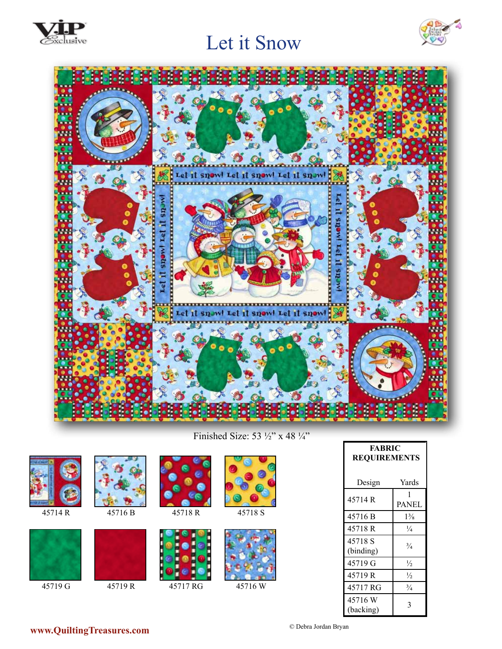





Finished Size: 53 ½" x 48 ¼"

| 45714R  | 45716B | 45718R   | 45718 S |
|---------|--------|----------|---------|
| 45719 G | 45719R | 45717 RG | 45716W  |

| <b>FABRIC</b><br><b>REQUIREMENTS</b> |                   |  |  |
|--------------------------------------|-------------------|--|--|
| Design                               | Yards             |  |  |
| 45714 R                              | 1<br><b>PANEL</b> |  |  |
| 45716 B                              | $1\frac{3}{8}$    |  |  |
| 45718 R                              | $\frac{1}{4}$     |  |  |
| 45718 S<br>(binding)                 | $^{3/4}$          |  |  |
| 45719 G                              | $\frac{1}{2}$     |  |  |
| 45719 R                              | $\frac{1}{2}$     |  |  |
| 45717 RG                             | $^{3}/_{4}$       |  |  |
| 45716 W<br>(backing)                 | 3                 |  |  |

© Debra Jordan Bryan **www.QuiltingTreasures.com**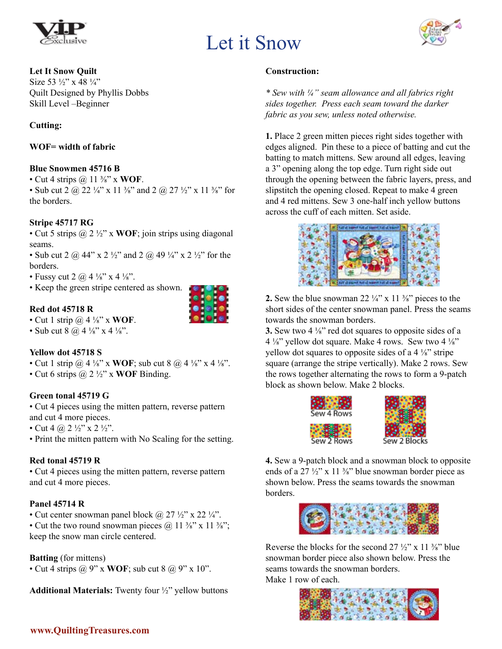



#### **Let It Snow Quilt**

Size 53 ½" x 48 ¼" Quilt Designed by Phyllis Dobbs Skill Level –Beginner

#### **Cutting:**

**WOF= width of fabric**

#### **Blue Snowmen 45716 B**

• Cut 4 strips @ 11 ⅜" x **WOF**.

• Sub cut 2  $\omega$  22  $\frac{1}{4}$ " x 11  $\frac{3}{8}$ " and 2  $\omega$  27  $\frac{1}{2}$ " x 11  $\frac{3}{8}$ " for the borders.

#### **Stripe 45717 RG**

• Cut 5 strips @ 2 ½" x **WOF**; join strips using diagonal seams.

• Sub cut 2  $\omega$  44" x 2 ½" and 2  $\omega$  49 ¼" x 2 ½" for the borders.

• Fussy cut 2  $\omega$  4  $\frac{1}{8}$  x 4  $\frac{1}{8}$ .

• Keep the green stripe centered as shown.

#### **Red dot 45718 R**



• Cut 1 strip @ 4 ⅛" x **WOF**.

• Sub cut 8  $@$  4  $\frac{1}{8}$ " x 4  $\frac{1}{8}$ ".

#### **Yellow dot 45718 S**

• Cut 1 strip @ 4 ⅛" x **WOF**; sub cut 8 @ 4 ⅛" x 4 ⅛".

• Cut 6 strips @ 2 ½" x **WOF** Binding.

#### **Green tonal 45719 G**

• Cut 4 pieces using the mitten pattern, reverse pattern and cut 4 more pieces.

• Cut 4 @ 2  $\frac{1}{2}$ " x 2  $\frac{1}{2}$ ".

• Print the mitten pattern with No Scaling for the setting.

#### **Red tonal 45719 R**

• Cut 4 pieces using the mitten pattern, reverse pattern and cut 4 more pieces.

#### **Panel 45714 R**

• Cut center snowman panel block  $\omega$  27  $\frac{1}{2}$ " x 22  $\frac{1}{4}$ ".

• Cut the two round snowman pieces  $\omega$  11  $\frac{3}{8}$ " x 11  $\frac{3}{8}$ "; keep the snow man circle centered.

#### **Batting** (for mittens)

• Cut 4 strips  $\omega$  9" x **WOF**; sub cut 8  $\omega$  9" x 10".

**Additional Materials:** Twenty four ½" yellow buttons

#### **Construction:**

*\* Sew with ¼" seam allowance and all fabrics right sides together. Press each seam toward the darker fabric as you sew, unless noted otherwise.*

**1.** Place 2 green mitten pieces right sides together with edges aligned. Pin these to a piece of batting and cut the batting to match mittens. Sew around all edges, leaving a 3" opening along the top edge. Turn right side out through the opening between the fabric layers, press, and slipstitch the opening closed. Repeat to make 4 green and 4 red mittens. Sew 3 one-half inch yellow buttons across the cuff of each mitten. Set aside.



**2.** Sew the blue snowman 22  $\frac{1}{4}$  x 11  $\frac{3}{8}$  pieces to the short sides of the center snowman panel. Press the seams towards the snowman borders.

**3.** Sew two 4 ⅛" red dot squares to opposite sides of a  $4\frac{1}{8}$ " yellow dot square. Make 4 rows. Sew two  $4\frac{1}{8}$ " yellow dot squares to opposite sides of a 4 ⅛" stripe square (arrange the stripe vertically). Make 2 rows. Sew the rows together alternating the rows to form a 9-patch block as shown below. Make 2 blocks.



**4.** Sew a 9-patch block and a snowman block to opposite ends of a 27  $\frac{1}{2}$ " x 11  $\frac{3}{8}$ " blue snowman border piece as shown below. Press the seams towards the snowman borders.



Reverse the blocks for the second  $27\frac{1}{2}$ " x 11  $\frac{3}{8}$ " blue snowman border piece also shown below. Press the seams towards the snowman borders. Make 1 row of each.

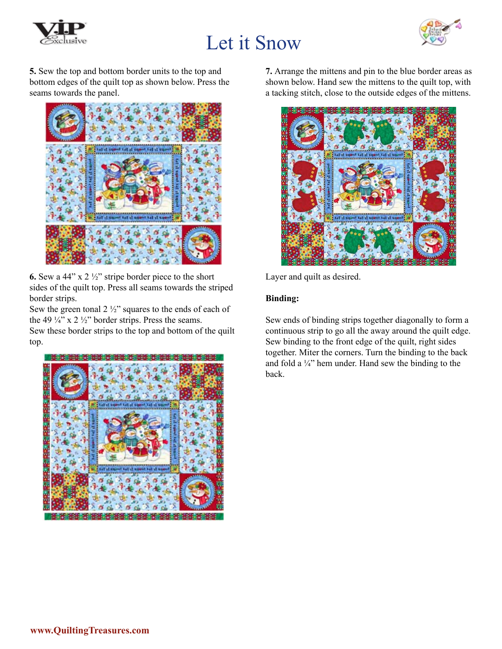



**5.** Sew the top and bottom border units to the top and bottom edges of the quilt top as shown below. Press the seams towards the panel.



**6.** Sew a 44" x 2 ½" stripe border piece to the short sides of the quilt top. Press all seams towards the striped border strips.

Sew the green tonal  $2\frac{1}{2}$ " squares to the ends of each of the 49  $\frac{1}{4}$ " x 2  $\frac{1}{2}$ " border strips. Press the seams.

Sew these border strips to the top and bottom of the quilt top.



**7.** Arrange the mittens and pin to the blue border areas as shown below. Hand sew the mittens to the quilt top, with a tacking stitch, close to the outside edges of the mittens.



Layer and quilt as desired.

#### **Binding:**

Sew ends of binding strips together diagonally to form a continuous strip to go all the away around the quilt edge. Sew binding to the front edge of the quilt, right sides together. Miter the corners. Turn the binding to the back and fold a  $\frac{1}{4}$ " hem under. Hand sew the binding to the back.